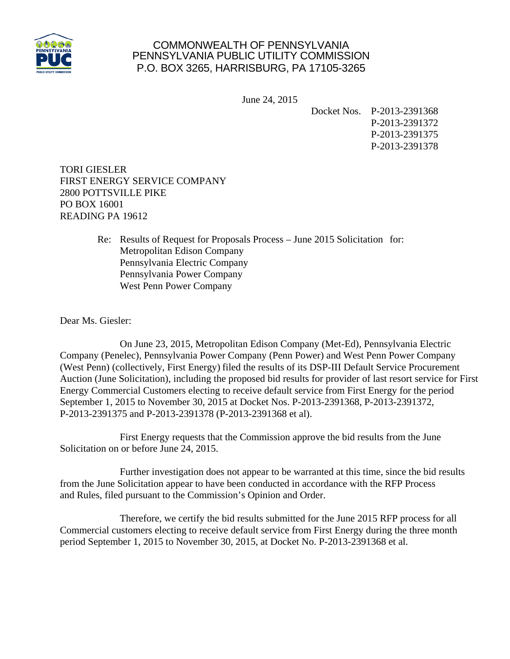

## COMMONWEALTH OF PENNSYLVANIA PENNSYLVANIA PUBLIC UTILITY COMMISSION P.O. BOX 3265, HARRISBURG, PA 17105-3265

June 24, 2015

Docket Nos. P-2013-2391368 P-2013-2391372 P-2013-2391375 P-2013-2391378

TORI GIESLER FIRST ENERGY SERVICE COMPANY 2800 POTTSVILLE PIKE PO BOX 16001 READING PA 19612

> Re: Results of Request for Proposals Process – June 2015 Solicitation for: Metropolitan Edison Company Pennsylvania Electric Company Pennsylvania Power Company West Penn Power Company

Dear Ms. Giesler:

On June 23, 2015, Metropolitan Edison Company (Met-Ed), Pennsylvania Electric Company (Penelec), Pennsylvania Power Company (Penn Power) and West Penn Power Company (West Penn) (collectively, First Energy) filed the results of its DSP-III Default Service Procurement Auction (June Solicitation), including the proposed bid results for provider of last resort service for First Energy Commercial Customers electing to receive default service from First Energy for the period September 1, 2015 to November 30, 2015 at Docket Nos. P-2013-2391368, P-2013-2391372, P-2013-2391375 and P-2013-2391378 (P-2013-2391368 et al).

First Energy requests that the Commission approve the bid results from the June Solicitation on or before June 24, 2015.

Further investigation does not appear to be warranted at this time, since the bid results from the June Solicitation appear to have been conducted in accordance with the RFP Process and Rules, filed pursuant to the Commission's Opinion and Order.

Therefore, we certify the bid results submitted for the June 2015 RFP process for all Commercial customers electing to receive default service from First Energy during the three month period September 1, 2015 to November 30, 2015, at Docket No. P-2013-2391368 et al.